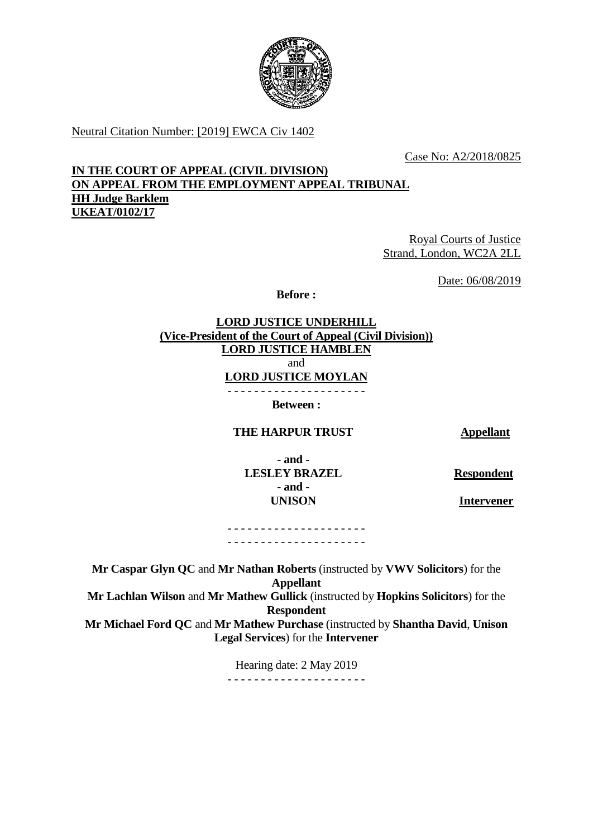

Neutral Citation Number: [2019] EWCA Civ 1402

Case No: A2/2018/0825

### **IN THE COURT OF APPEAL (CIVIL DIVISION) ON APPEAL FROM THE EMPLOYMENT APPEAL TRIBUNAL HH Judge Barklem UKEAT/0102/17**

Royal Courts of Justice Strand, London, WC2A 2LL

Date: 06/08/2019

**Before :**

**LORD JUSTICE UNDERHILL (Vice-President of the Court of Appeal (Civil Division)) LORD JUSTICE HAMBLEN** and **LORD JUSTICE MOYLAN** - - - - - - - - - - - - - - - - - - - - -

**Between :**

**THE HARPUR TRUST Appellant**

**- and - LESLEY BRAZEL - and - UNISON**

**Respondent**

 **Intervener**

- - - - - - - - - - - - - - - - - - - - - - - - - - - - - - - - - - - - - - - - - -

**Mr Caspar Glyn QC** and **Mr Nathan Roberts** (instructed by **VWV Solicitors**) for the **Appellant Mr Lachlan Wilson** and **Mr Mathew Gullick** (instructed by **Hopkins Solicitors**) for the **Respondent Mr Michael Ford QC** and **Mr Mathew Purchase** (instructed by **Shantha David**, **Unison Legal Services**) for the **Intervener**

> Hearing date: 2 May 2019 - - - - - - - - - - - - - - - - - - - - -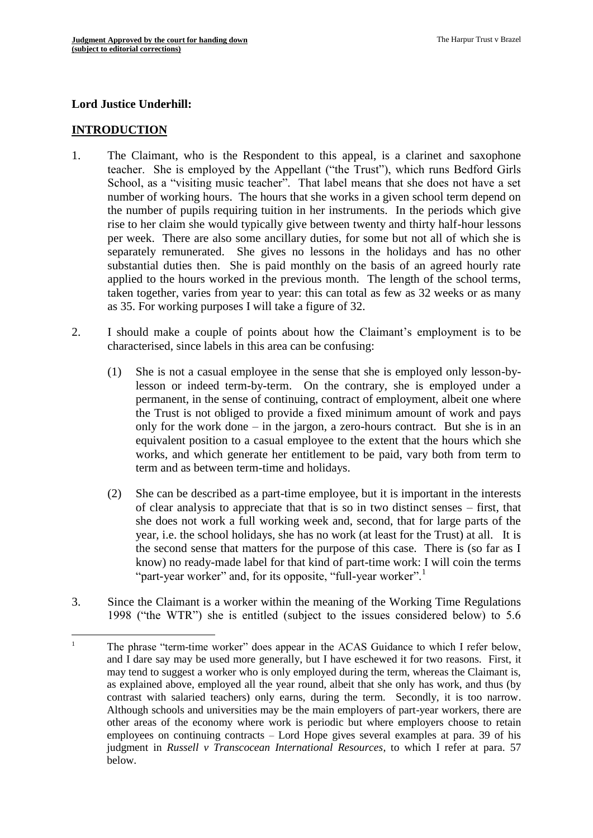#### **Lord Justice Underhill:**

#### **INTRODUCTION**

- 1. The Claimant, who is the Respondent to this appeal, is a clarinet and saxophone teacher. She is employed by the Appellant ("the Trust"), which runs Bedford Girls School, as a "visiting music teacher". That label means that she does not have a set number of working hours. The hours that she works in a given school term depend on the number of pupils requiring tuition in her instruments. In the periods which give rise to her claim she would typically give between twenty and thirty half-hour lessons per week. There are also some ancillary duties, for some but not all of which she is separately remunerated. She gives no lessons in the holidays and has no other substantial duties then. She is paid monthly on the basis of an agreed hourly rate applied to the hours worked in the previous month. The length of the school terms, taken together, varies from year to year: this can total as few as 32 weeks or as many as 35. For working purposes I will take a figure of 32.
- 2. I should make a couple of points about how the Claimant's employment is to be characterised, since labels in this area can be confusing:
	- (1) She is not a casual employee in the sense that she is employed only lesson-bylesson or indeed term-by-term. On the contrary, she is employed under a permanent, in the sense of continuing, contract of employment, albeit one where the Trust is not obliged to provide a fixed minimum amount of work and pays only for the work done – in the jargon, a zero-hours contract. But she is in an equivalent position to a casual employee to the extent that the hours which she works, and which generate her entitlement to be paid, vary both from term to term and as between term-time and holidays.
	- (2) She can be described as a part-time employee, but it is important in the interests of clear analysis to appreciate that that is so in two distinct senses – first, that she does not work a full working week and, second, that for large parts of the year, i.e. the school holidays, she has no work (at least for the Trust) at all. It is the second sense that matters for the purpose of this case. There is (so far as I know) no ready-made label for that kind of part-time work: I will coin the terms "part-year worker" and, for its opposite, "full-year worker".<sup>1</sup>
- 3. Since the Claimant is a worker within the meaning of the Working Time Regulations 1998 ("the WTR") she is entitled (subject to the issues considered below) to 5.6

 $\mathbf{1}$ The phrase "term-time worker" does appear in the ACAS Guidance to which I refer below, and I dare say may be used more generally, but I have eschewed it for two reasons. First, it may tend to suggest a worker who is only employed during the term, whereas the Claimant is, as explained above, employed all the year round, albeit that she only has work, and thus (by contrast with salaried teachers) only earns, during the term. Secondly, it is too narrow. Although schools and universities may be the main employers of part-year workers, there are other areas of the economy where work is periodic but where employers choose to retain employees on continuing contracts – Lord Hope gives several examples at para. 39 of his judgment in *Russell v Transcocean International Resources*, to which I refer at para. 57 below.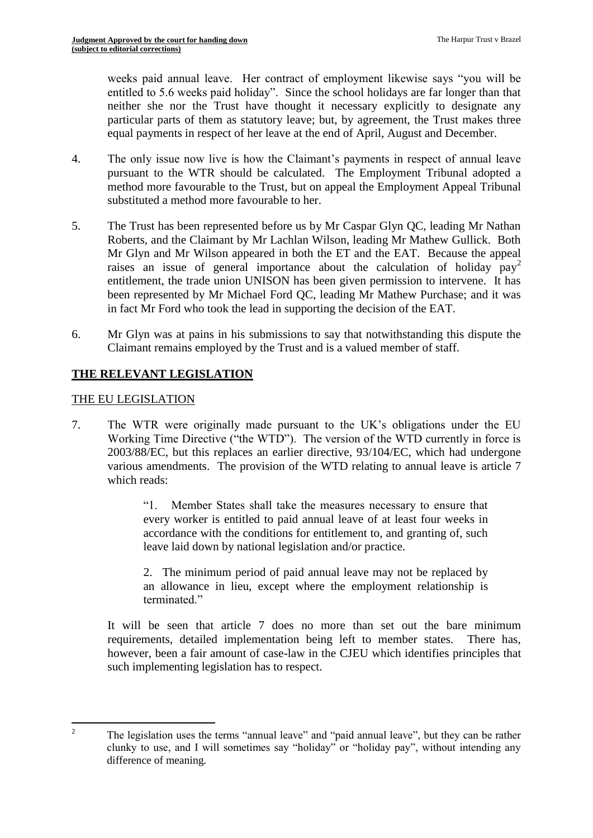weeks paid annual leave. Her contract of employment likewise says "you will be entitled to 5.6 weeks paid holiday". Since the school holidays are far longer than that neither she nor the Trust have thought it necessary explicitly to designate any particular parts of them as statutory leave; but, by agreement, the Trust makes three equal payments in respect of her leave at the end of April, August and December.

- 4. The only issue now live is how the Claimant's payments in respect of annual leave pursuant to the WTR should be calculated. The Employment Tribunal adopted a method more favourable to the Trust, but on appeal the Employment Appeal Tribunal substituted a method more favourable to her.
- 5. The Trust has been represented before us by Mr Caspar Glyn QC, leading Mr Nathan Roberts, and the Claimant by Mr Lachlan Wilson, leading Mr Mathew Gullick. Both Mr Glyn and Mr Wilson appeared in both the ET and the EAT. Because the appeal raises an issue of general importance about the calculation of holiday  $pav^2$ entitlement, the trade union UNISON has been given permission to intervene. It has been represented by Mr Michael Ford QC, leading Mr Mathew Purchase; and it was in fact Mr Ford who took the lead in supporting the decision of the EAT.
- 6. Mr Glyn was at pains in his submissions to say that notwithstanding this dispute the Claimant remains employed by the Trust and is a valued member of staff.

# **THE RELEVANT LEGISLATION**

#### THE EU LEGISLATION

7. The WTR were originally made pursuant to the UK's obligations under the EU Working Time Directive ("the WTD"). The version of the WTD currently in force is 2003/88/EC, but this replaces an earlier directive, 93/104/EC, which had undergone various amendments. The provision of the WTD relating to annual leave is article 7 which reads:

> "1. Member States shall take the measures necessary to ensure that every worker is entitled to paid annual leave of at least four weeks in accordance with the conditions for entitlement to, and granting of, such leave laid down by national legislation and/or practice.

> 2. The minimum period of paid annual leave may not be replaced by an allowance in lieu, except where the employment relationship is terminated."

It will be seen that article 7 does no more than set out the bare minimum requirements, detailed implementation being left to member states. There has, however, been a fair amount of case-law in the CJEU which identifies principles that such implementing legislation has to respect.

 $\overline{c}$ <sup>2</sup> The legislation uses the terms "annual leave" and "paid annual leave", but they can be rather clunky to use, and I will sometimes say "holiday" or "holiday pay", without intending any difference of meaning.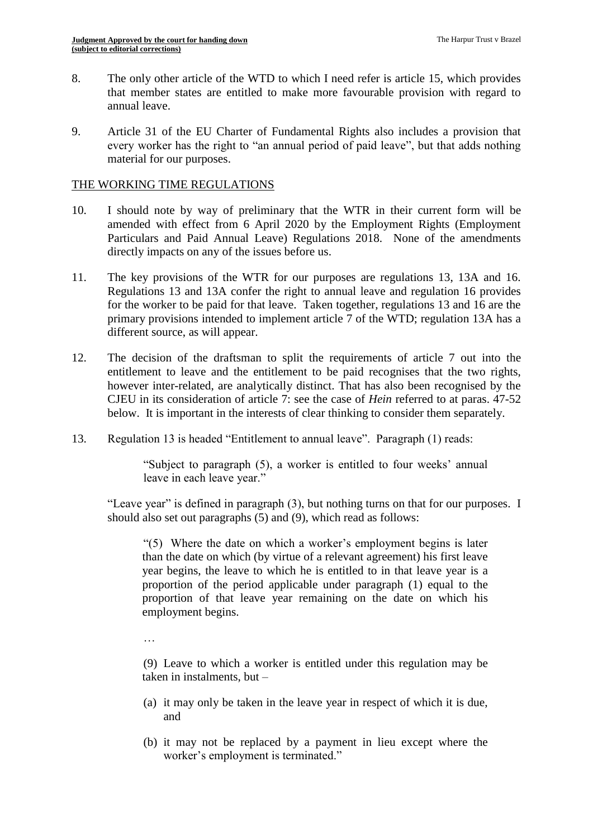- 8. The only other article of the WTD to which I need refer is article 15, which provides that member states are entitled to make more favourable provision with regard to annual leave.
- 9. Article 31 of the EU Charter of Fundamental Rights also includes a provision that every worker has the right to "an annual period of paid leave", but that adds nothing material for our purposes.

#### THE WORKING TIME REGULATIONS

- 10. I should note by way of preliminary that the WTR in their current form will be amended with effect from 6 April 2020 by the Employment Rights (Employment Particulars and Paid Annual Leave) Regulations 2018. None of the amendments directly impacts on any of the issues before us.
- 11. The key provisions of the WTR for our purposes are regulations 13, 13A and 16. Regulations 13 and 13A confer the right to annual leave and regulation 16 provides for the worker to be paid for that leave. Taken together, regulations 13 and 16 are the primary provisions intended to implement article 7 of the WTD; regulation 13A has a different source, as will appear.
- 12. The decision of the draftsman to split the requirements of article 7 out into the entitlement to leave and the entitlement to be paid recognises that the two rights, however inter-related, are analytically distinct. That has also been recognised by the CJEU in its consideration of article 7: see the case of *Hein* referred to at paras. 47-52 below. It is important in the interests of clear thinking to consider them separately.
- 13. Regulation 13 is headed "Entitlement to annual leave". Paragraph (1) reads:

"Subject to paragraph (5), a worker is entitled to four weeks' annual leave in each leave year."

"Leave year" is defined in paragraph (3), but nothing turns on that for our purposes. I should also set out paragraphs (5) and (9), which read as follows:

"(5) Where the date on which a worker's employment begins is later than the date on which (by virtue of a relevant agreement) his first leave year begins, the leave to which he is entitled to in that leave year is a proportion of the period applicable under paragraph (1) equal to the proportion of that leave year remaining on the date on which his employment begins.

…

(9) Leave to which a worker is entitled under this regulation may be taken in instalments, but –

- (a) it may only be taken in the leave year in respect of which it is due, and
- (b) it may not be replaced by a payment in lieu except where the worker's employment is terminated."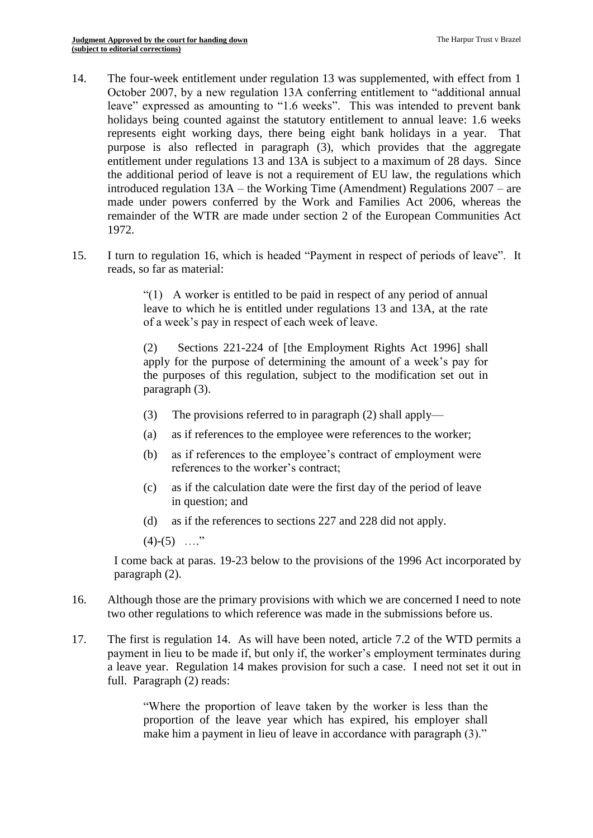- 14. The four-week entitlement under regulation 13 was supplemented, with effect from 1 October 2007, by a new regulation 13A conferring entitlement to "additional annual leave" expressed as amounting to "1.6 weeks". This was intended to prevent bank holidays being counted against the statutory entitlement to annual leave: 1.6 weeks represents eight working days, there being eight bank holidays in a year. That purpose is also reflected in paragraph (3), which provides that the aggregate entitlement under regulations 13 and 13A is subject to a maximum of 28 days. Since the additional period of leave is not a requirement of EU law, the regulations which introduced regulation 13A – the Working Time (Amendment) Regulations 2007 – are made under powers conferred by the Work and Families Act 2006, whereas the remainder of the WTR are made under section 2 of the European Communities Act 1972.
- 15. I turn to regulation 16, which is headed "Payment in respect of periods of leave". It reads, so far as material:

"(1) A worker is entitled to be paid in respect of any period of annual leave to which he is entitled under regulations 13 and 13A, at the rate of a week's pay in respect of each week of leave.

(2) Sections 221-224 of [the Employment Rights Act 1996] shall apply for the purpose of determining the amount of a week's pay for the purposes of this regulation, subject to the modification set out in paragraph (3).

- (3) The provisions referred to in paragraph (2) shall apply—
- (a) as if references to the employee were references to the worker;
- (b) as if references to the employee's contract of employment were references to the worker's contract;
- (c) as if the calculation date were the first day of the period of leave in question; and
- (d) as if the references to sections 227 and 228 did not apply.
- $(4)-(5)$  …."

I come back at paras. 19-23 below to the provisions of the 1996 Act incorporated by paragraph (2).

- 16. Although those are the primary provisions with which we are concerned I need to note two other regulations to which reference was made in the submissions before us.
- 17. The first is regulation 14. As will have been noted, article 7.2 of the WTD permits a payment in lieu to be made if, but only if, the worker's employment terminates during a leave year. Regulation 14 makes provision for such a case. I need not set it out in full. Paragraph (2) reads:

"Where the proportion of leave taken by the worker is less than the proportion of the leave year which has expired, his employer shall make him a payment in lieu of leave in accordance with paragraph (3)."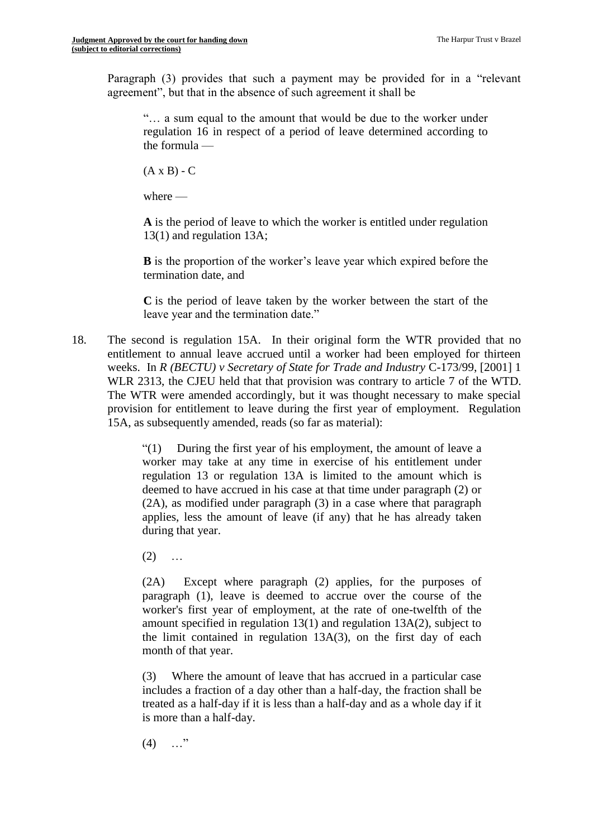Paragraph (3) provides that such a payment may be provided for in a "relevant agreement", but that in the absence of such agreement it shall be

"… a sum equal to the amount that would be due to the worker under regulation 16 in respect of a period of leave determined according to the formula —

 $(A \times B) - C$ 

where  $-$ 

**A** is the period of leave to which the worker is entitled under regulation 13(1) and regulation 13A;

**B** is the proportion of the worker's leave year which expired before the termination date, and

**C** is the period of leave taken by the worker between the start of the leave year and the termination date."

18. The second is regulation 15A. In their original form the WTR provided that no entitlement to annual leave accrued until a worker had been employed for thirteen weeks. In *R (BECTU) v Secretary of State for Trade and Industry* C-173/99, [2001] 1 WLR 2313, the CJEU held that that provision was contrary to article 7 of the WTD. The WTR were amended accordingly, but it was thought necessary to make special provision for entitlement to leave during the first year of employment. Regulation 15A, as subsequently amended, reads (so far as material):

> "(1) During the first year of his employment, the amount of leave a worker may take at any time in exercise of his entitlement under regulation 13 or regulation 13A is limited to the amount which is deemed to have accrued in his case at that time under paragraph (2) or (2A), as modified under paragraph (3) in a case where that paragraph applies, less the amount of leave (if any) that he has already taken during that year.

 $(2)$  ...

(2A) Except where paragraph (2) applies, for the purposes of paragraph (1), leave is deemed to accrue over the course of the worker's first year of employment, at the rate of one-twelfth of the amount specified in regulation 13(1) and regulation 13A(2), subject to the limit contained in regulation 13A(3), on the first day of each month of that year.

(3) Where the amount of leave that has accrued in a particular case includes a fraction of a day other than a half-day, the fraction shall be treated as a half-day if it is less than a half-day and as a whole day if it is more than a half-day.

 $(4)$  …"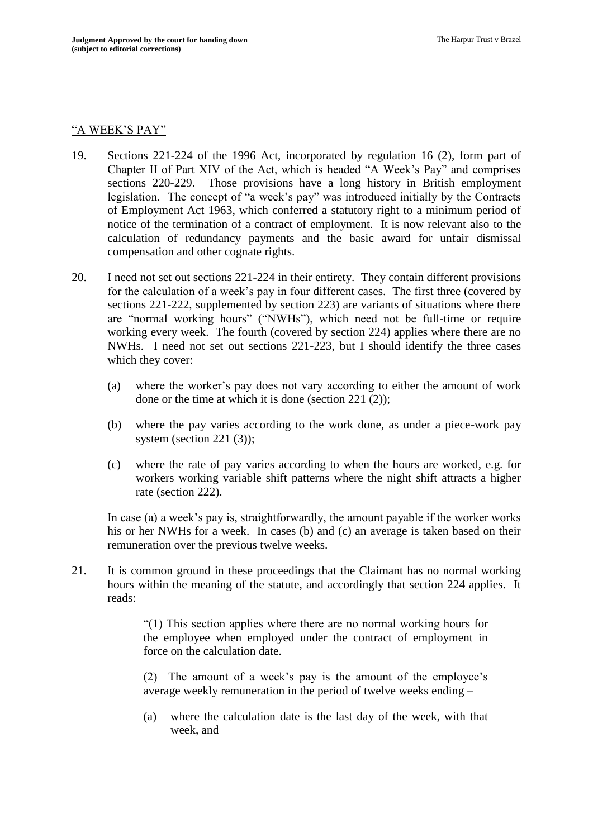#### "A WEEK'S PAY"

- 19. Sections 221-224 of the 1996 Act, incorporated by regulation 16 (2), form part of Chapter II of Part XIV of the Act, which is headed "A Week's Pay" and comprises sections 220-229. Those provisions have a long history in British employment legislation. The concept of "a week's pay" was introduced initially by the Contracts of Employment Act 1963, which conferred a statutory right to a minimum period of notice of the termination of a contract of employment. It is now relevant also to the calculation of redundancy payments and the basic award for unfair dismissal compensation and other cognate rights.
- 20. I need not set out sections 221-224 in their entirety. They contain different provisions for the calculation of a week's pay in four different cases. The first three (covered by sections 221-222, supplemented by section 223) are variants of situations where there are "normal working hours" ("NWHs"), which need not be full-time or require working every week. The fourth (covered by section 224) applies where there are no NWHs. I need not set out sections 221-223, but I should identify the three cases which they cover:
	- (a) where the worker's pay does not vary according to either the amount of work done or the time at which it is done (section 221 (2));
	- (b) where the pay varies according to the work done, as under a piece-work pay system (section 221 (3));
	- (c) where the rate of pay varies according to when the hours are worked, e.g. for workers working variable shift patterns where the night shift attracts a higher rate (section 222).

In case (a) a week's pay is, straightforwardly, the amount payable if the worker works his or her NWHs for a week. In cases (b) and (c) an average is taken based on their remuneration over the previous twelve weeks.

21. It is common ground in these proceedings that the Claimant has no normal working hours within the meaning of the statute, and accordingly that section 224 applies. It reads:

> "(1) This section applies where there are no normal working hours for the employee when employed under the contract of employment in force on the calculation date.

> (2) The amount of a week's pay is the amount of the employee's average weekly remuneration in the period of twelve weeks ending –

> (a) where the calculation date is the last day of the week, with that week, and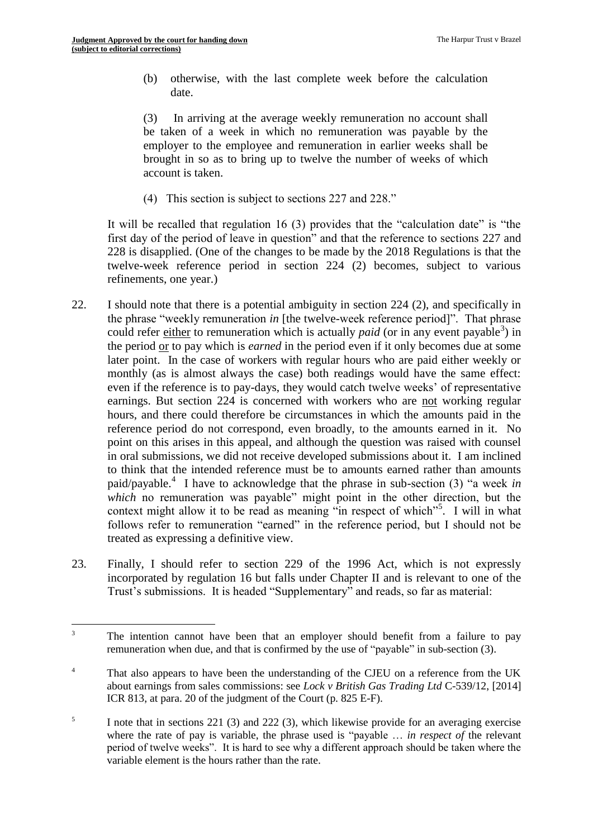1

(b) otherwise, with the last complete week before the calculation date.

(3) In arriving at the average weekly remuneration no account shall be taken of a week in which no remuneration was payable by the employer to the employee and remuneration in earlier weeks shall be brought in so as to bring up to twelve the number of weeks of which account is taken.

(4) This section is subject to sections 227 and 228."

It will be recalled that regulation  $16(3)$  provides that the "calculation date" is "the first day of the period of leave in question" and that the reference to sections 227 and 228 is disapplied. (One of the changes to be made by the 2018 Regulations is that the twelve-week reference period in section 224 (2) becomes, subject to various refinements, one year.)

- 22. I should note that there is a potential ambiguity in section 224 (2), and specifically in the phrase "weekly remuneration *in* [the twelve-week reference period]". That phrase could refer either to remuneration which is actually *paid* (or in any event payable<sup>3</sup>) in the period or to pay which is *earned* in the period even if it only becomes due at some later point. In the case of workers with regular hours who are paid either weekly or monthly (as is almost always the case) both readings would have the same effect: even if the reference is to pay-days, they would catch twelve weeks' of representative earnings. But section 224 is concerned with workers who are not working regular hours, and there could therefore be circumstances in which the amounts paid in the reference period do not correspond, even broadly, to the amounts earned in it. No point on this arises in this appeal, and although the question was raised with counsel in oral submissions, we did not receive developed submissions about it. I am inclined to think that the intended reference must be to amounts earned rather than amounts paid/payable.<sup>4</sup> I have to acknowledge that the phrase in sub-section (3) "a week *in which* no remuneration was payable" might point in the other direction, but the context might allow it to be read as meaning "in respect of which"<sup>5</sup>. I will in what follows refer to remuneration "earned" in the reference period, but I should not be treated as expressing a definitive view.
- 23. Finally, I should refer to section 229 of the 1996 Act, which is not expressly incorporated by regulation 16 but falls under Chapter II and is relevant to one of the Trust's submissions. It is headed "Supplementary" and reads, so far as material:

<sup>&</sup>lt;sup>3</sup> The intention cannot have been that an employer should benefit from a failure to pay remuneration when due, and that is confirmed by the use of "payable" in sub-section (3).

<sup>&</sup>lt;sup>4</sup> That also appears to have been the understanding of the CJEU on a reference from the UK about earnings from sales commissions: see *Lock v British Gas Trading Ltd* C-539/12, [2014] ICR 813, at para. 20 of the judgment of the Court (p. 825 E-F).

<sup>5</sup> I note that in sections 221 (3) and 222 (3), which likewise provide for an averaging exercise where the rate of pay is variable, the phrase used is "payable … *in respect of* the relevant period of twelve weeks". It is hard to see why a different approach should be taken where the variable element is the hours rather than the rate.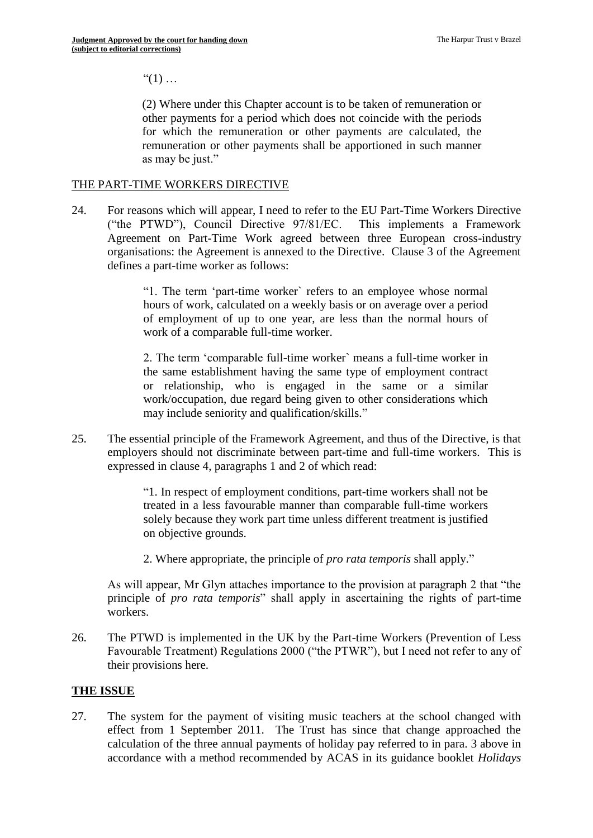$"(1)$  ...

(2) Where under this Chapter account is to be taken of remuneration or other payments for a period which does not coincide with the periods for which the remuneration or other payments are calculated, the remuneration or other payments shall be apportioned in such manner as may be just."

#### THE PART-TIME WORKERS DIRECTIVE

24. For reasons which will appear, I need to refer to the EU Part-Time Workers Directive ("the PTWD"), Council Directive 97/81/EC. This implements a Framework Agreement on Part-Time Work agreed between three European cross-industry organisations: the Agreement is annexed to the Directive. Clause 3 of the Agreement defines a part-time worker as follows:

> "1. The term 'part-time worker` refers to an employee whose normal hours of work, calculated on a weekly basis or on average over a period of employment of up to one year, are less than the normal hours of work of a comparable full-time worker.

> 2. The term 'comparable full-time worker` means a full-time worker in the same establishment having the same type of employment contract or relationship, who is engaged in the same or a similar work/occupation, due regard being given to other considerations which may include seniority and qualification/skills."

25. The essential principle of the Framework Agreement, and thus of the Directive, is that employers should not discriminate between part-time and full-time workers. This is expressed in clause 4, paragraphs 1 and 2 of which read:

> "1. In respect of employment conditions, part-time workers shall not be treated in a less favourable manner than comparable full-time workers solely because they work part time unless different treatment is justified on objective grounds.

2. Where appropriate, the principle of *pro rata temporis* shall apply."

As will appear, Mr Glyn attaches importance to the provision at paragraph 2 that "the principle of *pro rata temporis*" shall apply in ascertaining the rights of part-time workers.

26. The PTWD is implemented in the UK by the Part-time Workers (Prevention of Less Favourable Treatment) Regulations 2000 ("the PTWR"), but I need not refer to any of their provisions here.

# **THE ISSUE**

27. The system for the payment of visiting music teachers at the school changed with effect from 1 September 2011. The Trust has since that change approached the calculation of the three annual payments of holiday pay referred to in para. 3 above in accordance with a method recommended by ACAS in its guidance booklet *Holidays*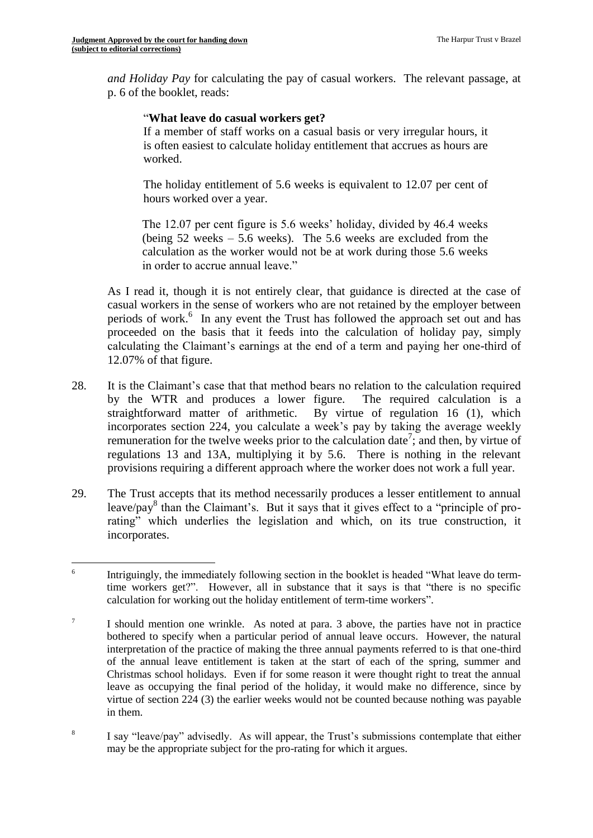*and Holiday Pay* for calculating the pay of casual workers. The relevant passage, at p. 6 of the booklet, reads:

#### "**What leave do casual workers get?**

If a member of staff works on a casual basis or very irregular hours, it is often easiest to calculate holiday entitlement that accrues as hours are worked.

The holiday entitlement of 5.6 weeks is equivalent to 12.07 per cent of hours worked over a year.

The 12.07 per cent figure is 5.6 weeks' holiday, divided by 46.4 weeks (being 52 weeks – 5.6 weeks). The 5.6 weeks are excluded from the calculation as the worker would not be at work during those 5.6 weeks in order to accrue annual leave."

As I read it, though it is not entirely clear, that guidance is directed at the case of casual workers in the sense of workers who are not retained by the employer between periods of work.<sup>6</sup> In any event the Trust has followed the approach set out and has proceeded on the basis that it feeds into the calculation of holiday pay, simply calculating the Claimant's earnings at the end of a term and paying her one-third of 12.07% of that figure.

- 28. It is the Claimant's case that that method bears no relation to the calculation required by the WTR and produces a lower figure. The required calculation is a straightforward matter of arithmetic. By virtue of regulation 16 (1), which incorporates section 224, you calculate a week's pay by taking the average weekly remuneration for the twelve weeks prior to the calculation date<sup>7</sup>; and then, by virtue of regulations 13 and 13A, multiplying it by 5.6. There is nothing in the relevant provisions requiring a different approach where the worker does not work a full year.
- 29. The Trust accepts that its method necessarily produces a lesser entitlement to annual leave/pay<sup>8</sup> than the Claimant's. But it says that it gives effect to a "principle of prorating" which underlies the legislation and which, on its true construction, it incorporates.

 $-$ <br>6 Intriguingly, the immediately following section in the booklet is headed "What leave do termtime workers get?". However, all in substance that it says is that "there is no specific calculation for working out the holiday entitlement of term-time workers".

<sup>7</sup> I should mention one wrinkle. As noted at para. 3 above, the parties have not in practice bothered to specify when a particular period of annual leave occurs. However, the natural interpretation of the practice of making the three annual payments referred to is that one-third of the annual leave entitlement is taken at the start of each of the spring, summer and Christmas school holidays. Even if for some reason it were thought right to treat the annual leave as occupying the final period of the holiday, it would make no difference, since by virtue of section 224 (3) the earlier weeks would not be counted because nothing was payable in them.

<sup>8</sup> I say "leave/pay" advisedly. As will appear, the Trust's submissions contemplate that either may be the appropriate subject for the pro-rating for which it argues.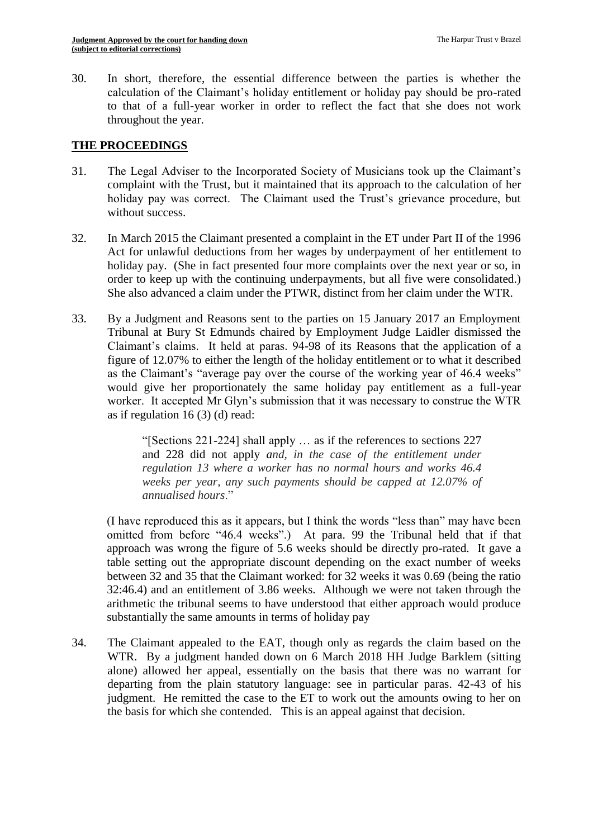30. In short, therefore, the essential difference between the parties is whether the calculation of the Claimant's holiday entitlement or holiday pay should be pro-rated to that of a full-year worker in order to reflect the fact that she does not work throughout the year.

# **THE PROCEEDINGS**

- 31. The Legal Adviser to the Incorporated Society of Musicians took up the Claimant's complaint with the Trust, but it maintained that its approach to the calculation of her holiday pay was correct. The Claimant used the Trust's grievance procedure, but without success.
- 32. In March 2015 the Claimant presented a complaint in the ET under Part II of the 1996 Act for unlawful deductions from her wages by underpayment of her entitlement to holiday pay. (She in fact presented four more complaints over the next year or so, in order to keep up with the continuing underpayments, but all five were consolidated.) She also advanced a claim under the PTWR, distinct from her claim under the WTR.
- 33. By a Judgment and Reasons sent to the parties on 15 January 2017 an Employment Tribunal at Bury St Edmunds chaired by Employment Judge Laidler dismissed the Claimant's claims. It held at paras. 94-98 of its Reasons that the application of a figure of 12.07% to either the length of the holiday entitlement or to what it described as the Claimant's "average pay over the course of the working year of 46.4 weeks" would give her proportionately the same holiday pay entitlement as a full-year worker. It accepted Mr Glyn's submission that it was necessary to construe the WTR as if regulation  $16(3)(d)$  read:

"[Sections 221-224] shall apply … as if the references to sections 227 and 228 did not apply *and, in the case of the entitlement under regulation 13 where a worker has no normal hours and works 46.4 weeks per year, any such payments should be capped at 12.07% of annualised hours*."

(I have reproduced this as it appears, but I think the words "less than" may have been omitted from before "46.4 weeks".) At para. 99 the Tribunal held that if that approach was wrong the figure of 5.6 weeks should be directly pro-rated. It gave a table setting out the appropriate discount depending on the exact number of weeks between 32 and 35 that the Claimant worked: for 32 weeks it was 0.69 (being the ratio 32:46.4) and an entitlement of 3.86 weeks. Although we were not taken through the arithmetic the tribunal seems to have understood that either approach would produce substantially the same amounts in terms of holiday pay

34. The Claimant appealed to the EAT, though only as regards the claim based on the WTR. By a judgment handed down on 6 March 2018 HH Judge Barklem (sitting alone) allowed her appeal, essentially on the basis that there was no warrant for departing from the plain statutory language: see in particular paras. 42-43 of his judgment. He remitted the case to the ET to work out the amounts owing to her on the basis for which she contended. This is an appeal against that decision.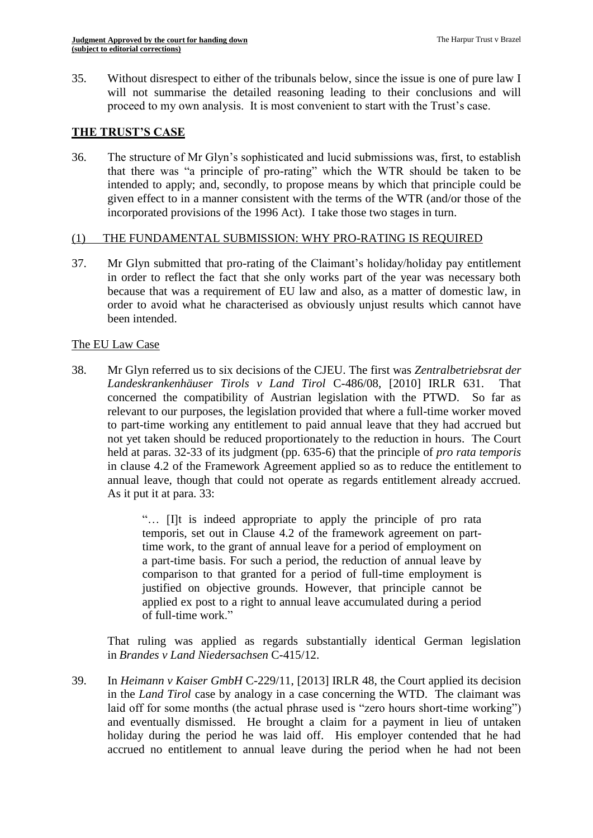35. Without disrespect to either of the tribunals below, since the issue is one of pure law I will not summarise the detailed reasoning leading to their conclusions and will proceed to my own analysis. It is most convenient to start with the Trust's case.

#### **THE TRUST'S CASE**

36. The structure of Mr Glyn's sophisticated and lucid submissions was, first, to establish that there was "a principle of pro-rating" which the WTR should be taken to be intended to apply; and, secondly, to propose means by which that principle could be given effect to in a manner consistent with the terms of the WTR (and/or those of the incorporated provisions of the 1996 Act). I take those two stages in turn.

#### (1) THE FUNDAMENTAL SUBMISSION: WHY PRO-RATING IS REQUIRED

37. Mr Glyn submitted that pro-rating of the Claimant's holiday/holiday pay entitlement in order to reflect the fact that she only works part of the year was necessary both because that was a requirement of EU law and also, as a matter of domestic law, in order to avoid what he characterised as obviously unjust results which cannot have been intended.

#### The EU Law Case

38. Mr Glyn referred us to six decisions of the CJEU. The first was *Zentralbetriebsrat der Landeskrankenhäuser Tirols v Land Tirol* C-486/08, [2010] IRLR 631. That concerned the compatibility of Austrian legislation with the PTWD. So far as relevant to our purposes, the legislation provided that where a full-time worker moved to part-time working any entitlement to paid annual leave that they had accrued but not yet taken should be reduced proportionately to the reduction in hours. The Court held at paras. 32-33 of its judgment (pp. 635-6) that the principle of *pro rata temporis* in clause 4.2 of the Framework Agreement applied so as to reduce the entitlement to annual leave, though that could not operate as regards entitlement already accrued. As it put it at para. 33:

> "… [I]t is indeed appropriate to apply the principle of pro rata temporis, set out in Clause 4.2 of the framework agreement on parttime work, to the grant of annual leave for a period of employment on a part-time basis. For such a period, the reduction of annual leave by comparison to that granted for a period of full-time employment is justified on objective grounds. However, that principle cannot be applied ex post to a right to annual leave accumulated during a period of full-time work."

That ruling was applied as regards substantially identical German legislation in *Brandes v Land Niedersachsen* C-415/12.

39. In *Heimann v Kaiser GmbH* C-229/11, [2013] IRLR 48, the Court applied its decision in the *Land Tirol* case by analogy in a case concerning the WTD. The claimant was laid off for some months (the actual phrase used is "zero hours short-time working") and eventually dismissed. He brought a claim for a payment in lieu of untaken holiday during the period he was laid off. His employer contended that he had accrued no entitlement to annual leave during the period when he had not been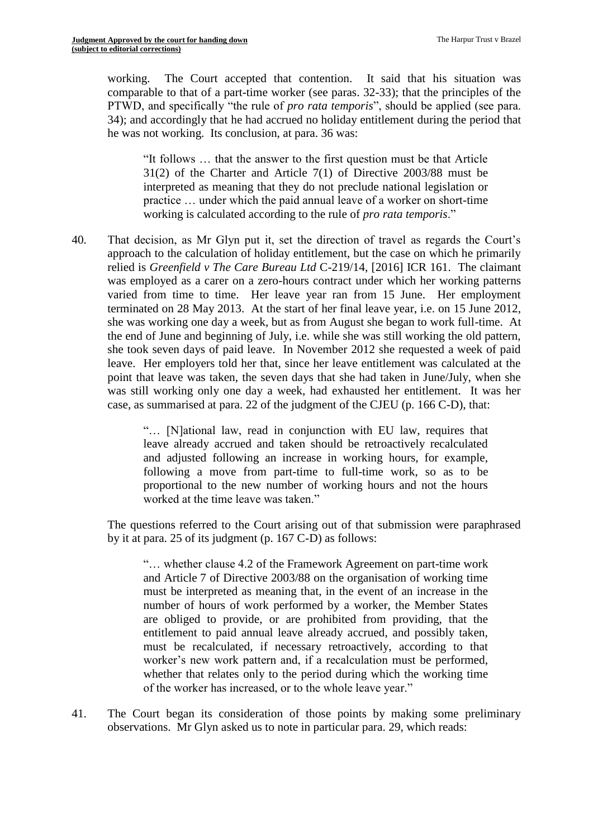working. The Court accepted that contention. It said that his situation was comparable to that of a part-time worker (see paras. 32-33); that the principles of the PTWD, and specifically "the rule of *pro rata temporis*", should be applied (see para. 34); and accordingly that he had accrued no holiday entitlement during the period that he was not working. Its conclusion, at para. 36 was:

"It follows … that the answer to the first question must be that Article 31(2) of the Charter and Article 7(1) of Directive 2003/88 must be interpreted as meaning that they do not preclude national legislation or practice … under which the paid annual leave of a worker on short-time working is calculated according to the rule of *pro rata temporis*."

40. That decision, as Mr Glyn put it, set the direction of travel as regards the Court's approach to the calculation of holiday entitlement, but the case on which he primarily relied is *Greenfield v The Care Bureau Ltd* C-219/14, [2016] ICR 161. The claimant was employed as a carer on a zero-hours contract under which her working patterns varied from time to time. Her leave year ran from 15 June. Her employment terminated on 28 May 2013. At the start of her final leave year, i.e. on 15 June 2012, she was working one day a week, but as from August she began to work full-time. At the end of June and beginning of July, i.e. while she was still working the old pattern, she took seven days of paid leave. In November 2012 she requested a week of paid leave. Her employers told her that, since her leave entitlement was calculated at the point that leave was taken, the seven days that she had taken in June/July, when she was still working only one day a week, had exhausted her entitlement. It was her case, as summarised at para. 22 of the judgment of the CJEU (p. 166 C-D), that:

> "… [N]ational law, read in conjunction with EU law, requires that leave already accrued and taken should be retroactively recalculated and adjusted following an increase in working hours, for example, following a move from part-time to full-time work, so as to be proportional to the new number of working hours and not the hours worked at the time leave was taken."

The questions referred to the Court arising out of that submission were paraphrased by it at para. 25 of its judgment (p. 167 C-D) as follows:

"… whether clause 4.2 of the Framework Agreement on part-time work and Article 7 of Directive 2003/88 on the organisation of working time must be interpreted as meaning that, in the event of an increase in the number of hours of work performed by a worker, the Member States are obliged to provide, or are prohibited from providing, that the entitlement to paid annual leave already accrued, and possibly taken, must be recalculated, if necessary retroactively, according to that worker's new work pattern and, if a recalculation must be performed, whether that relates only to the period during which the working time of the worker has increased, or to the whole leave year."

41. The Court began its consideration of those points by making some preliminary observations. Mr Glyn asked us to note in particular para. 29, which reads: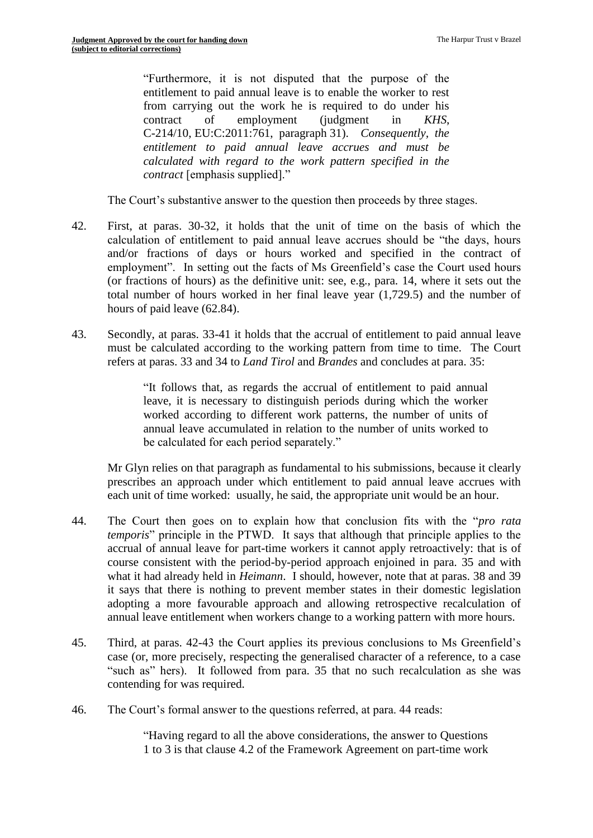"Furthermore, it is not disputed that the purpose of the entitlement to paid annual leave is to enable the worker to rest from carrying out the work he is required to do under his contract of employment (judgment in *KHS*, C-214/10, EU:C:2011:761, paragraph 31). *Consequently, the entitlement to paid annual leave accrues and must be calculated with regard to the work pattern specified in the contract* [emphasis supplied]."

The Court's substantive answer to the question then proceeds by three stages.

- 42. First, at paras. 30-32, it holds that the unit of time on the basis of which the calculation of entitlement to paid annual leave accrues should be "the days, hours and/or fractions of days or hours worked and specified in the contract of employment". In setting out the facts of Ms Greenfield's case the Court used hours (or fractions of hours) as the definitive unit: see, e.g., para. 14, where it sets out the total number of hours worked in her final leave year (1,729.5) and the number of hours of paid leave (62.84).
- 43. Secondly, at paras. 33-41 it holds that the accrual of entitlement to paid annual leave must be calculated according to the working pattern from time to time. The Court refers at paras. 33 and 34 to *Land Tirol* and *Brandes* and concludes at para. 35:

"It follows that, as regards the accrual of entitlement to paid annual leave, it is necessary to distinguish periods during which the worker worked according to different work patterns, the number of units of annual leave accumulated in relation to the number of units worked to be calculated for each period separately."

Mr Glyn relies on that paragraph as fundamental to his submissions, because it clearly prescribes an approach under which entitlement to paid annual leave accrues with each unit of time worked: usually, he said, the appropriate unit would be an hour.

- 44. The Court then goes on to explain how that conclusion fits with the "*pro rata temporis*" principle in the PTWD. It says that although that principle applies to the accrual of annual leave for part-time workers it cannot apply retroactively: that is of course consistent with the period-by-period approach enjoined in para. 35 and with what it had already held in *Heimann*. I should, however, note that at paras. 38 and 39 it says that there is nothing to prevent member states in their domestic legislation adopting a more favourable approach and allowing retrospective recalculation of annual leave entitlement when workers change to a working pattern with more hours.
- 45. Third, at paras. 42-43 the Court applies its previous conclusions to Ms Greenfield's case (or, more precisely, respecting the generalised character of a reference, to a case "such as" hers). It followed from para. 35 that no such recalculation as she was contending for was required.
- 46. The Court's formal answer to the questions referred, at para. 44 reads:

"Having regard to all the above considerations, the answer to Questions 1 to 3 is that clause 4.2 of the Framework Agreement on part-time work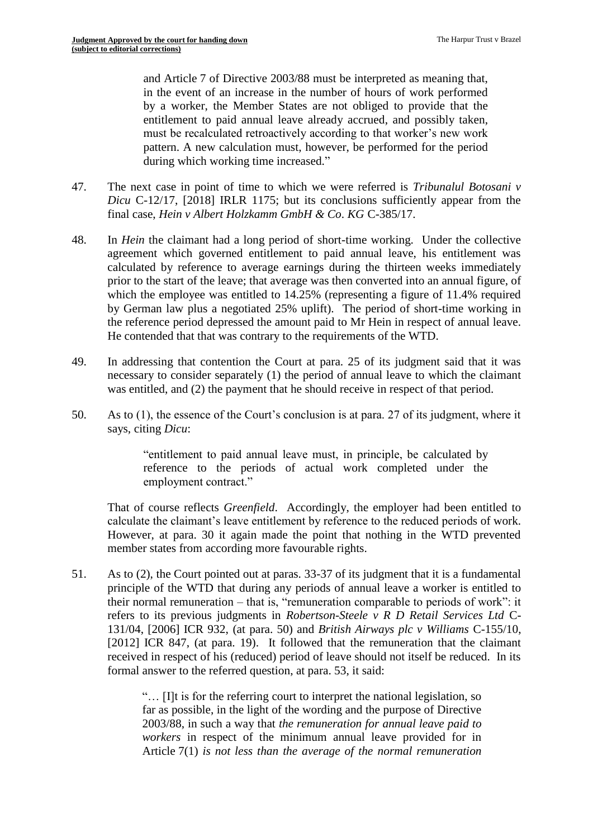and Article 7 of Directive 2003/88 must be interpreted as meaning that, in the event of an increase in the number of hours of work performed by a worker, the Member States are not obliged to provide that the entitlement to paid annual leave already accrued, and possibly taken, must be recalculated retroactively according to that worker's new work pattern. A new calculation must, however, be performed for the period during which working time increased."

- 47. The next case in point of time to which we were referred is *Tribunalul Botosani v Dicu* C-12/17, [2018] IRLR 1175; but its conclusions sufficiently appear from the final case, *Hein v Albert Holzkamm GmbH & Co*. *KG* C-385/17.
- 48. In *Hein* the claimant had a long period of short-time working. Under the collective agreement which governed entitlement to paid annual leave, his entitlement was calculated by reference to average earnings during the thirteen weeks immediately prior to the start of the leave; that average was then converted into an annual figure, of which the employee was entitled to 14.25% (representing a figure of 11.4% required by German law plus a negotiated 25% uplift). The period of short-time working in the reference period depressed the amount paid to Mr Hein in respect of annual leave. He contended that that was contrary to the requirements of the WTD.
- 49. In addressing that contention the Court at para. 25 of its judgment said that it was necessary to consider separately (1) the period of annual leave to which the claimant was entitled, and (2) the payment that he should receive in respect of that period.
- 50. As to (1), the essence of the Court's conclusion is at para. 27 of its judgment, where it says, citing *Dicu*:

"entitlement to paid annual leave must, in principle, be calculated by reference to the periods of actual work completed under the employment contract."

That of course reflects *Greenfield*. Accordingly, the employer had been entitled to calculate the claimant's leave entitlement by reference to the reduced periods of work. However, at para. 30 it again made the point that nothing in the WTD prevented member states from according more favourable rights.

51. As to (2), the Court pointed out at paras. 33-37 of its judgment that it is a fundamental principle of the WTD that during any periods of annual leave a worker is entitled to their normal remuneration – that is, "remuneration comparable to periods of work": it refers to its previous judgments in *Robertson-Steele v R D Retail Services Ltd* C-131/04, [2006] ICR 932, (at para. 50) and *British Airways plc v Williams* C-155/10, [2012] ICR 847, (at para. 19). It followed that the remuneration that the claimant received in respect of his (reduced) period of leave should not itself be reduced. In its formal answer to the referred question, at para. 53, it said:

> "… [I]t is for the referring court to interpret the national legislation, so far as possible, in the light of the wording and the purpose of Directive 2003/88, in such a way that *the remuneration for annual leave paid to workers* in respect of the minimum annual leave provided for in Article 7(1) *is not less than the average of the normal remuneration*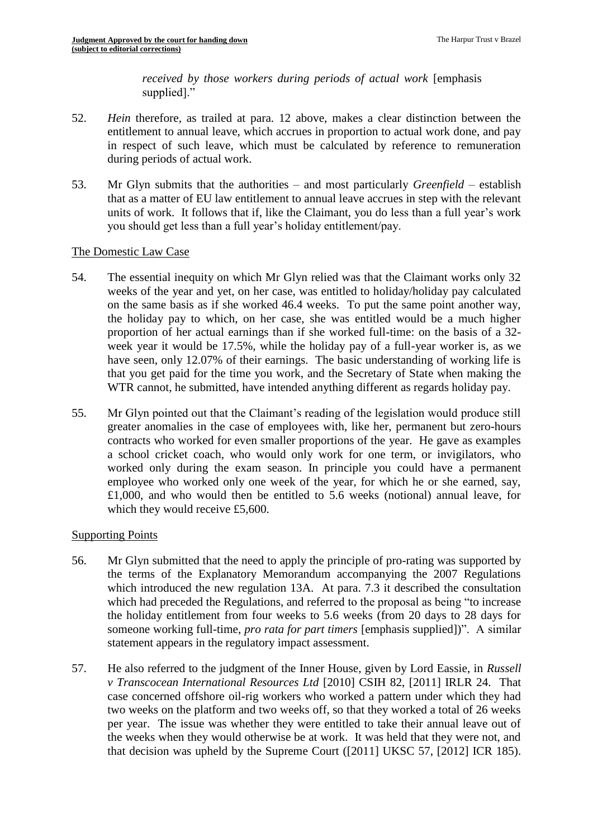*received by those workers during periods of actual work* [emphasis supplied]."

- 52. *Hein* therefore, as trailed at para. 12 above, makes a clear distinction between the entitlement to annual leave, which accrues in proportion to actual work done, and pay in respect of such leave, which must be calculated by reference to remuneration during periods of actual work.
- 53. Mr Glyn submits that the authorities and most particularly *Greenfield* establish that as a matter of EU law entitlement to annual leave accrues in step with the relevant units of work. It follows that if, like the Claimant, you do less than a full year's work you should get less than a full year's holiday entitlement/pay.

#### The Domestic Law Case

- 54. The essential inequity on which Mr Glyn relied was that the Claimant works only 32 weeks of the year and yet, on her case, was entitled to holiday/holiday pay calculated on the same basis as if she worked 46.4 weeks. To put the same point another way, the holiday pay to which, on her case, she was entitled would be a much higher proportion of her actual earnings than if she worked full-time: on the basis of a 32 week year it would be 17.5%, while the holiday pay of a full-year worker is, as we have seen, only 12.07% of their earnings. The basic understanding of working life is that you get paid for the time you work, and the Secretary of State when making the WTR cannot, he submitted, have intended anything different as regards holiday pay.
- 55. Mr Glyn pointed out that the Claimant's reading of the legislation would produce still greater anomalies in the case of employees with, like her, permanent but zero-hours contracts who worked for even smaller proportions of the year. He gave as examples a school cricket coach, who would only work for one term, or invigilators, who worked only during the exam season. In principle you could have a permanent employee who worked only one week of the year, for which he or she earned, say, £1,000, and who would then be entitled to 5.6 weeks (notional) annual leave, for which they would receive £5,600.

# Supporting Points

- 56. Mr Glyn submitted that the need to apply the principle of pro-rating was supported by the terms of the Explanatory Memorandum accompanying the 2007 Regulations which introduced the new regulation 13A. At para. 7.3 it described the consultation which had preceded the Regulations, and referred to the proposal as being "to increase the holiday entitlement from four weeks to 5.6 weeks (from 20 days to 28 days for someone working full-time, *pro rata for part timers* [emphasis supplied])". A similar statement appears in the regulatory impact assessment.
- 57. He also referred to the judgment of the Inner House, given by Lord Eassie, in *Russell v Transcocean International Resources Ltd* [2010] CSIH 82, [2011] IRLR 24. That case concerned offshore oil-rig workers who worked a pattern under which they had two weeks on the platform and two weeks off, so that they worked a total of 26 weeks per year. The issue was whether they were entitled to take their annual leave out of the weeks when they would otherwise be at work. It was held that they were not, and that decision was upheld by the Supreme Court ([2011] UKSC 57, [2012] ICR 185).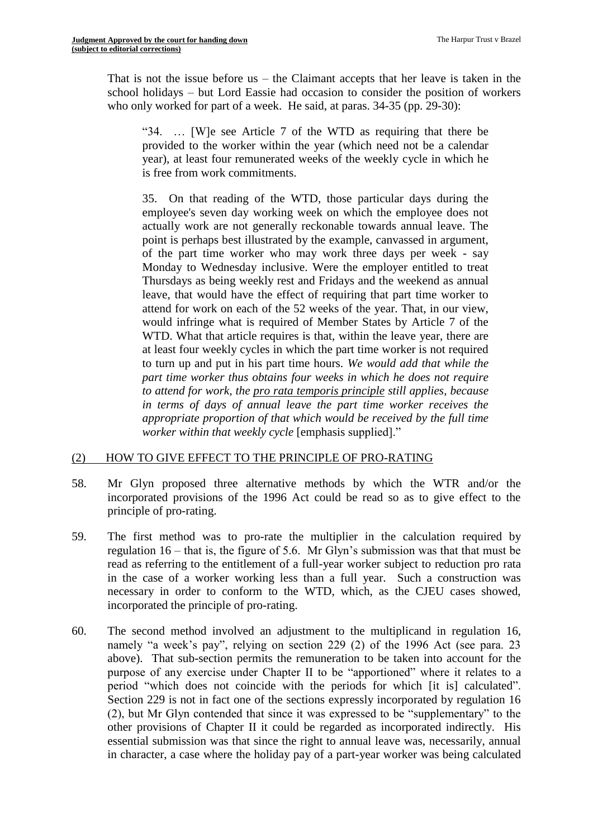That is not the issue before us – the Claimant accepts that her leave is taken in the school holidays – but Lord Eassie had occasion to consider the position of workers who only worked for part of a week. He said, at paras.  $34-35$  (pp. 29-30):

"34. … [W]e see Article 7 of the WTD as requiring that there be provided to the worker within the year (which need not be a calendar year), at least four remunerated weeks of the weekly cycle in which he is free from work commitments.

35. On that reading of the WTD, those particular days during the employee's seven day working week on which the employee does not actually work are not generally reckonable towards annual leave. The point is perhaps best illustrated by the example, canvassed in argument, of the part time worker who may work three days per week - say Monday to Wednesday inclusive. Were the employer entitled to treat Thursdays as being weekly rest and Fridays and the weekend as annual leave, that would have the effect of requiring that part time worker to attend for work on each of the 52 weeks of the year. That, in our view, would infringe what is required of Member States by Article 7 of the WTD. What that article requires is that, within the leave year, there are at least four weekly cycles in which the part time worker is not required to turn up and put in his part time hours. *We would add that while the part time worker thus obtains four weeks in which he does not require to attend for work, the pro rata temporis principle still applies, because in terms of days of annual leave the part time worker receives the appropriate proportion of that which would be received by the full time worker within that weekly cycle* [emphasis supplied]."

#### (2) HOW TO GIVE EFFECT TO THE PRINCIPLE OF PRO-RATING

- 58. Mr Glyn proposed three alternative methods by which the WTR and/or the incorporated provisions of the 1996 Act could be read so as to give effect to the principle of pro-rating.
- 59. The first method was to pro-rate the multiplier in the calculation required by regulation 16 – that is, the figure of 5.6. Mr Glyn's submission was that that must be read as referring to the entitlement of a full-year worker subject to reduction pro rata in the case of a worker working less than a full year. Such a construction was necessary in order to conform to the WTD, which, as the CJEU cases showed, incorporated the principle of pro-rating.
- 60. The second method involved an adjustment to the multiplicand in regulation 16, namely "a week's pay", relying on section 229 (2) of the 1996 Act (see para. 23 above). That sub-section permits the remuneration to be taken into account for the purpose of any exercise under Chapter II to be "apportioned" where it relates to a period "which does not coincide with the periods for which [it is] calculated". Section 229 is not in fact one of the sections expressly incorporated by regulation 16 (2), but Mr Glyn contended that since it was expressed to be "supplementary" to the other provisions of Chapter II it could be regarded as incorporated indirectly. His essential submission was that since the right to annual leave was, necessarily, annual in character, a case where the holiday pay of a part-year worker was being calculated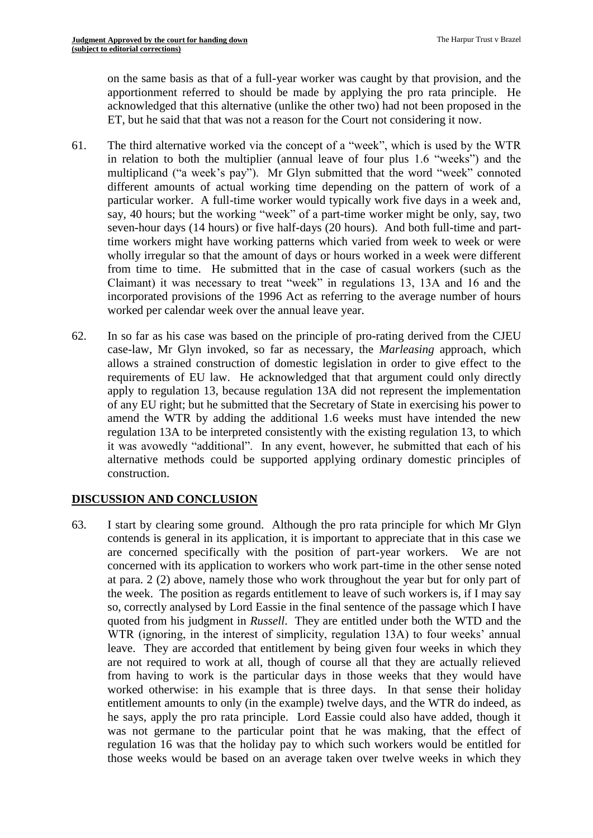on the same basis as that of a full-year worker was caught by that provision, and the apportionment referred to should be made by applying the pro rata principle. He acknowledged that this alternative (unlike the other two) had not been proposed in the ET, but he said that that was not a reason for the Court not considering it now.

- 61. The third alternative worked via the concept of a "week", which is used by the WTR in relation to both the multiplier (annual leave of four plus 1.6 "weeks") and the multiplicand ("a week's pay"). Mr Glyn submitted that the word "week" connoted different amounts of actual working time depending on the pattern of work of a particular worker. A full-time worker would typically work five days in a week and, say, 40 hours; but the working "week" of a part-time worker might be only, say, two seven-hour days (14 hours) or five half-days (20 hours). And both full-time and parttime workers might have working patterns which varied from week to week or were wholly irregular so that the amount of days or hours worked in a week were different from time to time. He submitted that in the case of casual workers (such as the Claimant) it was necessary to treat "week" in regulations 13, 13A and 16 and the incorporated provisions of the 1996 Act as referring to the average number of hours worked per calendar week over the annual leave year.
- 62. In so far as his case was based on the principle of pro-rating derived from the CJEU case-law, Mr Glyn invoked, so far as necessary, the *Marleasing* approach, which allows a strained construction of domestic legislation in order to give effect to the requirements of EU law. He acknowledged that that argument could only directly apply to regulation 13, because regulation 13A did not represent the implementation of any EU right; but he submitted that the Secretary of State in exercising his power to amend the WTR by adding the additional 1.6 weeks must have intended the new regulation 13A to be interpreted consistently with the existing regulation 13, to which it was avowedly "additional". In any event, however, he submitted that each of his alternative methods could be supported applying ordinary domestic principles of construction.

# **DISCUSSION AND CONCLUSION**

63. I start by clearing some ground. Although the pro rata principle for which Mr Glyn contends is general in its application, it is important to appreciate that in this case we are concerned specifically with the position of part-year workers. We are not concerned with its application to workers who work part-time in the other sense noted at para. 2 (2) above, namely those who work throughout the year but for only part of the week. The position as regards entitlement to leave of such workers is, if I may say so, correctly analysed by Lord Eassie in the final sentence of the passage which I have quoted from his judgment in *Russell*. They are entitled under both the WTD and the WTR (ignoring, in the interest of simplicity, regulation 13A) to four weeks' annual leave. They are accorded that entitlement by being given four weeks in which they are not required to work at all, though of course all that they are actually relieved from having to work is the particular days in those weeks that they would have worked otherwise: in his example that is three days. In that sense their holiday entitlement amounts to only (in the example) twelve days, and the WTR do indeed, as he says, apply the pro rata principle. Lord Eassie could also have added, though it was not germane to the particular point that he was making, that the effect of regulation 16 was that the holiday pay to which such workers would be entitled for those weeks would be based on an average taken over twelve weeks in which they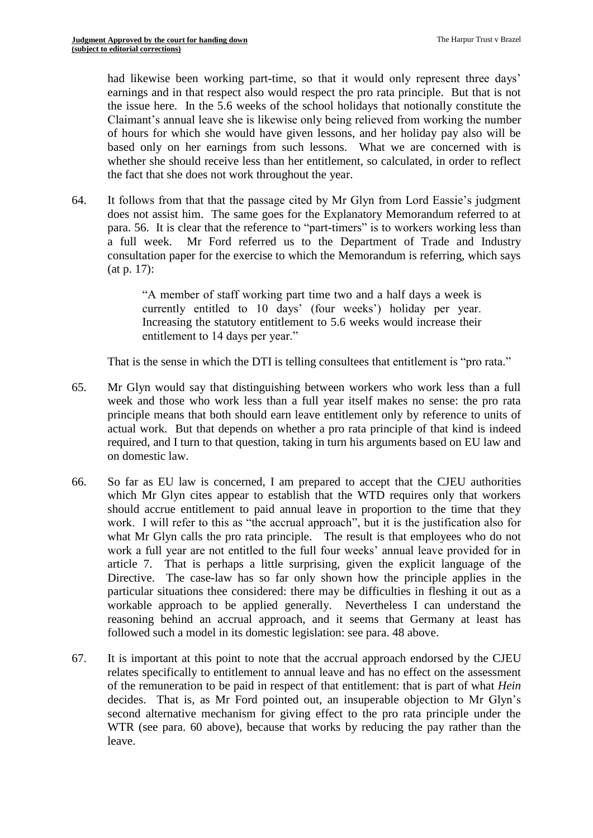had likewise been working part-time, so that it would only represent three days' earnings and in that respect also would respect the pro rata principle. But that is not the issue here. In the 5.6 weeks of the school holidays that notionally constitute the Claimant's annual leave she is likewise only being relieved from working the number of hours for which she would have given lessons, and her holiday pay also will be based only on her earnings from such lessons. What we are concerned with is whether she should receive less than her entitlement, so calculated, in order to reflect the fact that she does not work throughout the year.

64. It follows from that that the passage cited by Mr Glyn from Lord Eassie's judgment does not assist him. The same goes for the Explanatory Memorandum referred to at para. 56. It is clear that the reference to "part-timers" is to workers working less than a full week. Mr Ford referred us to the Department of Trade and Industry consultation paper for the exercise to which the Memorandum is referring, which says (at p. 17):

> "A member of staff working part time two and a half days a week is currently entitled to 10 days' (four weeks') holiday per year. Increasing the statutory entitlement to 5.6 weeks would increase their entitlement to 14 days per year."

That is the sense in which the DTI is telling consultees that entitlement is "pro rata."

- 65. Mr Glyn would say that distinguishing between workers who work less than a full week and those who work less than a full year itself makes no sense: the pro rata principle means that both should earn leave entitlement only by reference to units of actual work. But that depends on whether a pro rata principle of that kind is indeed required, and I turn to that question, taking in turn his arguments based on EU law and on domestic law.
- 66. So far as EU law is concerned, I am prepared to accept that the CJEU authorities which Mr Glyn cites appear to establish that the WTD requires only that workers should accrue entitlement to paid annual leave in proportion to the time that they work. I will refer to this as "the accrual approach", but it is the justification also for what Mr Glyn calls the pro rata principle. The result is that employees who do not work a full year are not entitled to the full four weeks' annual leave provided for in article 7. That is perhaps a little surprising, given the explicit language of the Directive. The case-law has so far only shown how the principle applies in the particular situations thee considered: there may be difficulties in fleshing it out as a workable approach to be applied generally. Nevertheless I can understand the reasoning behind an accrual approach, and it seems that Germany at least has followed such a model in its domestic legislation: see para. 48 above.
- 67. It is important at this point to note that the accrual approach endorsed by the CJEU relates specifically to entitlement to annual leave and has no effect on the assessment of the remuneration to be paid in respect of that entitlement: that is part of what *Hein* decides. That is, as Mr Ford pointed out, an insuperable objection to Mr Glyn's second alternative mechanism for giving effect to the pro rata principle under the WTR (see para. 60 above), because that works by reducing the pay rather than the leave.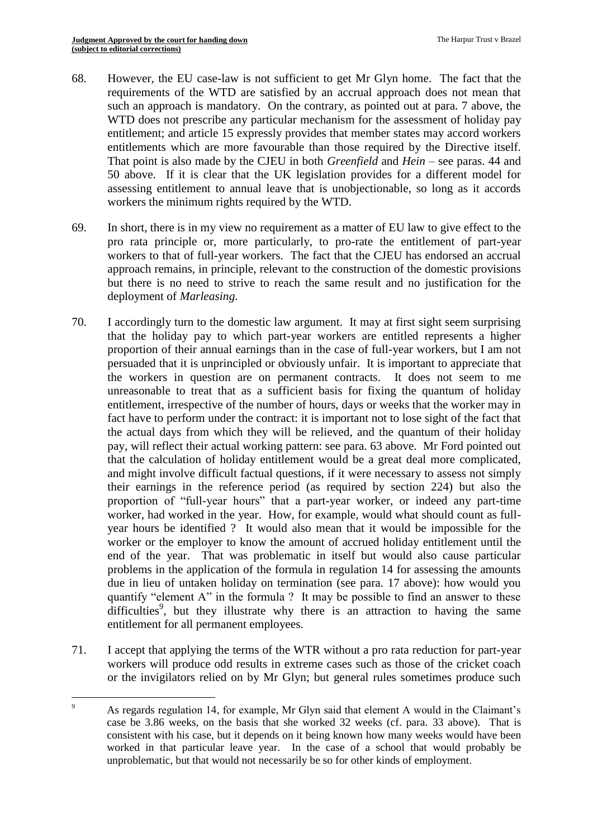- 68. However, the EU case-law is not sufficient to get Mr Glyn home. The fact that the requirements of the WTD are satisfied by an accrual approach does not mean that such an approach is mandatory. On the contrary, as pointed out at para. 7 above, the WTD does not prescribe any particular mechanism for the assessment of holiday pay entitlement; and article 15 expressly provides that member states may accord workers entitlements which are more favourable than those required by the Directive itself. That point is also made by the CJEU in both *Greenfield* and *Hein* – see paras. 44 and 50 above. If it is clear that the UK legislation provides for a different model for assessing entitlement to annual leave that is unobjectionable, so long as it accords workers the minimum rights required by the WTD.
- 69. In short, there is in my view no requirement as a matter of EU law to give effect to the pro rata principle or, more particularly, to pro-rate the entitlement of part-year workers to that of full-year workers. The fact that the CJEU has endorsed an accrual approach remains, in principle, relevant to the construction of the domestic provisions but there is no need to strive to reach the same result and no justification for the deployment of *Marleasing.*
- 70. I accordingly turn to the domestic law argument. It may at first sight seem surprising that the holiday pay to which part-year workers are entitled represents a higher proportion of their annual earnings than in the case of full-year workers, but I am not persuaded that it is unprincipled or obviously unfair. It is important to appreciate that the workers in question are on permanent contracts. It does not seem to me unreasonable to treat that as a sufficient basis for fixing the quantum of holiday entitlement, irrespective of the number of hours, days or weeks that the worker may in fact have to perform under the contract: it is important not to lose sight of the fact that the actual days from which they will be relieved, and the quantum of their holiday pay, will reflect their actual working pattern: see para. 63 above. Mr Ford pointed out that the calculation of holiday entitlement would be a great deal more complicated, and might involve difficult factual questions, if it were necessary to assess not simply their earnings in the reference period (as required by section 224) but also the proportion of "full-year hours" that a part-year worker, or indeed any part-time worker, had worked in the year. How, for example, would what should count as fullyear hours be identified ? It would also mean that it would be impossible for the worker or the employer to know the amount of accrued holiday entitlement until the end of the year. That was problematic in itself but would also cause particular problems in the application of the formula in regulation 14 for assessing the amounts due in lieu of untaken holiday on termination (see para. 17 above): how would you quantify "element A" in the formula ? It may be possible to find an answer to these difficulties<sup>9</sup>, but they illustrate why there is an attraction to having the same entitlement for all permanent employees.
- 71. I accept that applying the terms of the WTR without a pro rata reduction for part-year workers will produce odd results in extreme cases such as those of the cricket coach or the invigilators relied on by Mr Glyn; but general rules sometimes produce such

 $\overline{9}$ <sup>9</sup> As regards regulation 14, for example, Mr Glyn said that element A would in the Claimant's case be 3.86 weeks, on the basis that she worked 32 weeks (cf. para. 33 above). That is consistent with his case, but it depends on it being known how many weeks would have been worked in that particular leave year. In the case of a school that would probably be unproblematic, but that would not necessarily be so for other kinds of employment.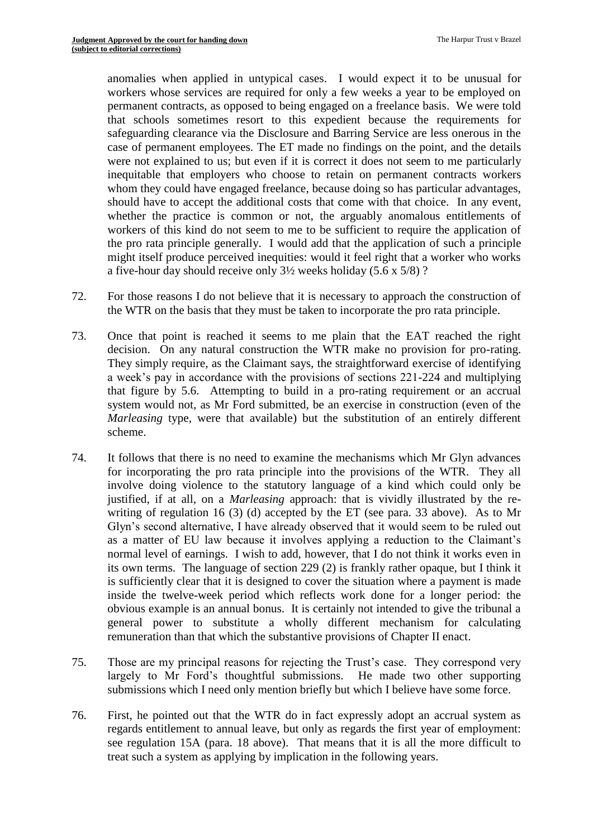anomalies when applied in untypical cases. I would expect it to be unusual for workers whose services are required for only a few weeks a year to be employed on permanent contracts, as opposed to being engaged on a freelance basis. We were told that schools sometimes resort to this expedient because the requirements for safeguarding clearance via the Disclosure and Barring Service are less onerous in the case of permanent employees. The ET made no findings on the point, and the details were not explained to us; but even if it is correct it does not seem to me particularly inequitable that employers who choose to retain on permanent contracts workers whom they could have engaged freelance, because doing so has particular advantages, should have to accept the additional costs that come with that choice. In any event, whether the practice is common or not, the arguably anomalous entitlements of workers of this kind do not seem to me to be sufficient to require the application of the pro rata principle generally. I would add that the application of such a principle might itself produce perceived inequities: would it feel right that a worker who works a five-hour day should receive only 3½ weeks holiday (5.6 x 5/8) ?

- 72. For those reasons I do not believe that it is necessary to approach the construction of the WTR on the basis that they must be taken to incorporate the pro rata principle.
- 73. Once that point is reached it seems to me plain that the EAT reached the right decision. On any natural construction the WTR make no provision for pro-rating. They simply require, as the Claimant says, the straightforward exercise of identifying a week's pay in accordance with the provisions of sections 221-224 and multiplying that figure by 5.6. Attempting to build in a pro-rating requirement or an accrual system would not, as Mr Ford submitted, be an exercise in construction (even of the *Marleasing* type, were that available) but the substitution of an entirely different scheme.
- 74. It follows that there is no need to examine the mechanisms which Mr Glyn advances for incorporating the pro rata principle into the provisions of the WTR. They all involve doing violence to the statutory language of a kind which could only be justified, if at all, on a *Marleasing* approach: that is vividly illustrated by the rewriting of regulation 16 (3) (d) accepted by the ET (see para. 33 above). As to Mr Glyn's second alternative, I have already observed that it would seem to be ruled out as a matter of EU law because it involves applying a reduction to the Claimant's normal level of earnings. I wish to add, however, that I do not think it works even in its own terms. The language of section 229 (2) is frankly rather opaque, but I think it is sufficiently clear that it is designed to cover the situation where a payment is made inside the twelve-week period which reflects work done for a longer period: the obvious example is an annual bonus. It is certainly not intended to give the tribunal a general power to substitute a wholly different mechanism for calculating remuneration than that which the substantive provisions of Chapter II enact.
- 75. Those are my principal reasons for rejecting the Trust's case. They correspond very largely to Mr Ford's thoughtful submissions. He made two other supporting submissions which I need only mention briefly but which I believe have some force.
- 76. First, he pointed out that the WTR do in fact expressly adopt an accrual system as regards entitlement to annual leave, but only as regards the first year of employment: see regulation 15A (para. 18 above). That means that it is all the more difficult to treat such a system as applying by implication in the following years.